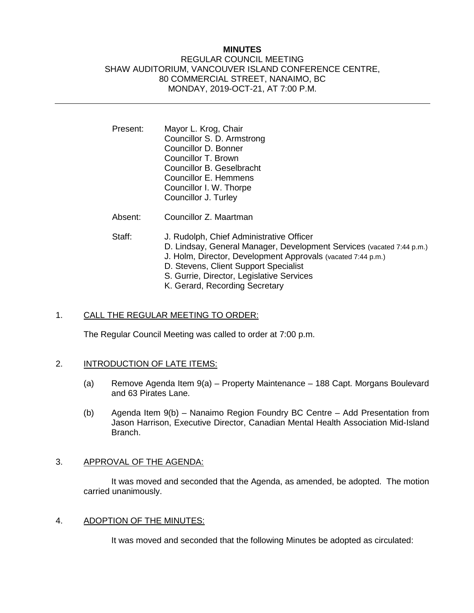### **MINUTES**

# REGULAR COUNCIL MEETING SHAW AUDITORIUM, VANCOUVER ISLAND CONFERENCE CENTRE, 80 COMMERCIAL STREET, NANAIMO, BC MONDAY, 2019-OCT-21, AT 7:00 P.M.

- Present: Mayor L. Krog, Chair Councillor S. D. Armstrong Councillor D. Bonner Councillor T. Brown Councillor B. Geselbracht Councillor E. Hemmens Councillor I. W. Thorpe Councillor J. Turley
- Absent: Councillor Z. Maartman

- Staff: J. Rudolph, Chief Administrative Officer
	- D. Lindsay, General Manager, Development Services (vacated 7:44 p.m.)
	- J. Holm, Director, Development Approvals (vacated 7:44 p.m.)
	- D. Stevens, Client Support Specialist
	- S. Gurrie, Director, Legislative Services
	- K. Gerard, Recording Secretary

## 1. CALL THE REGULAR MEETING TO ORDER:

The Regular Council Meeting was called to order at 7:00 p.m.

# 2. INTRODUCTION OF LATE ITEMS:

- (a) Remove Agenda Item 9(a) Property Maintenance 188 Capt. Morgans Boulevard and 63 Pirates Lane.
- (b) Agenda Item 9(b) Nanaimo Region Foundry BC Centre Add Presentation from Jason Harrison, Executive Director, Canadian Mental Health Association Mid-Island Branch.

## 3. APPROVAL OF THE AGENDA:

It was moved and seconded that the Agenda, as amended, be adopted. The motion carried unanimously.

## 4. ADOPTION OF THE MINUTES:

It was moved and seconded that the following Minutes be adopted as circulated: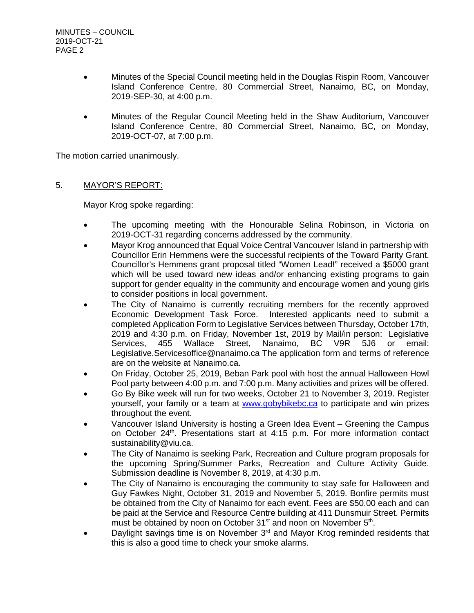- Minutes of the Special Council meeting held in the Douglas Rispin Room, Vancouver Island Conference Centre, 80 Commercial Street, Nanaimo, BC, on Monday, 2019-SEP-30, at 4:00 p.m.
- Minutes of the Regular Council Meeting held in the Shaw Auditorium, Vancouver Island Conference Centre, 80 Commercial Street, Nanaimo, BC, on Monday, 2019-OCT-07, at 7:00 p.m.

The motion carried unanimously.

# 5. MAYOR'S REPORT:

Mayor Krog spoke regarding:

- The upcoming meeting with the Honourable Selina Robinson, in Victoria on 2019-OCT-31 regarding concerns addressed by the community.
- Mayor Krog announced that Equal Voice Central Vancouver Island in partnership with Councillor Erin Hemmens were the successful recipients of the Toward Parity Grant. Councillor's Hemmens grant proposal titled "Women Lead!" received a \$5000 grant which will be used toward new ideas and/or enhancing existing programs to gain support for gender equality in the community and encourage women and young girls to consider positions in local government.
- The City of Nanaimo is currently recruiting members for the recently approved Economic Development Task Force. Interested applicants need to submit a completed Application Form to Legislative Services between Thursday, October 17th, 2019 and 4:30 p.m. on Friday, November 1st, 2019 by Mail/in person: Legislative Services, 455 Wallace Street, Nanaimo, BC V9R 5J6 or email: Legislative.Servicesoffice@nanaimo.ca The application form and terms of reference are on the website at Nanaimo.ca.
- On Friday, October 25, 2019, Beban Park pool with host the annual Halloween Howl Pool party between 4:00 p.m. and 7:00 p.m. Many activities and prizes will be offered.
- Go By Bike week will run for two weeks, October 21 to November 3, 2019. Register yourself, your family or a team at [www.gobybikebc.ca](http://www.gobybikebc.ca/) to participate and win prizes throughout the event.
- Vancouver Island University is hosting a Green Idea Event Greening the Campus on October 24<sup>th</sup>. Presentations start at 4:15 p.m. For more information contact sustainability@viu.ca.
- The City of Nanaimo is seeking Park, Recreation and Culture program proposals for the upcoming Spring/Summer Parks, Recreation and Culture Activity Guide. Submission deadline is November 8, 2019, at 4:30 p.m.
- The City of Nanaimo is encouraging the community to stay safe for Halloween and Guy Fawkes Night, October 31, 2019 and November 5, 2019. Bonfire permits must be obtained from the City of Nanaimo for each event. Fees are \$50.00 each and can be paid at the Service and Resource Centre building at 411 Dunsmuir Street. Permits must be obtained by noon on October 31<sup>st</sup> and noon on November 5<sup>th</sup>.
- Daylight savings time is on November  $3<sup>rd</sup>$  and Mayor Krog reminded residents that this is also a good time to check your smoke alarms.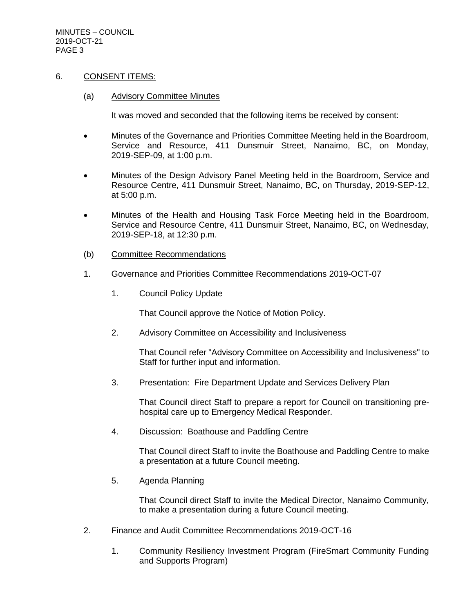MINUTES – COUNCIL 2019-OCT-21 PAGE 3

### 6. CONSENT ITEMS:

#### (a) Advisory Committee Minutes

It was moved and seconded that the following items be received by consent:

- Minutes of the Governance and Priorities Committee Meeting held in the Boardroom, Service and Resource, 411 Dunsmuir Street, Nanaimo, BC, on Monday, 2019-SEP-09, at 1:00 p.m.
- Minutes of the Design Advisory Panel Meeting held in the Boardroom, Service and Resource Centre, 411 Dunsmuir Street, Nanaimo, BC, on Thursday, 2019-SEP-12, at 5:00 p.m.
- Minutes of the Health and Housing Task Force Meeting held in the Boardroom, Service and Resource Centre, 411 Dunsmuir Street, Nanaimo, BC, on Wednesday, 2019-SEP-18, at 12:30 p.m.
- (b) Committee Recommendations
- 1. Governance and Priorities Committee Recommendations 2019-OCT-07
	- 1. Council Policy Update

That Council approve the Notice of Motion Policy.

2. Advisory Committee on Accessibility and Inclusiveness

That Council refer "Advisory Committee on Accessibility and Inclusiveness" to Staff for further input and information.

3. Presentation: Fire Department Update and Services Delivery Plan

That Council direct Staff to prepare a report for Council on transitioning prehospital care up to Emergency Medical Responder.

4. Discussion: Boathouse and Paddling Centre

That Council direct Staff to invite the Boathouse and Paddling Centre to make a presentation at a future Council meeting.

5. Agenda Planning

That Council direct Staff to invite the Medical Director, Nanaimo Community, to make a presentation during a future Council meeting.

- 2. Finance and Audit Committee Recommendations 2019-OCT-16
	- 1. Community Resiliency Investment Program (FireSmart Community Funding and Supports Program)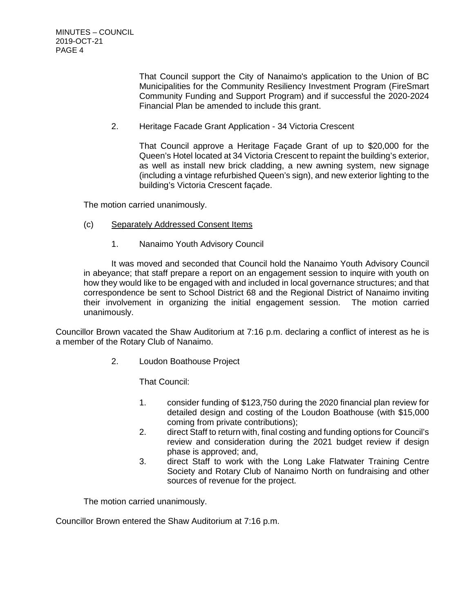That Council support the City of Nanaimo's application to the Union of BC Municipalities for the Community Resiliency Investment Program (FireSmart Community Funding and Support Program) and if successful the 2020-2024 Financial Plan be amended to include this grant.

2. Heritage Facade Grant Application - 34 Victoria Crescent

That Council approve a Heritage Façade Grant of up to \$20,000 for the Queen's Hotel located at 34 Victoria Crescent to repaint the building's exterior, as well as install new brick cladding, a new awning system, new signage (including a vintage refurbished Queen's sign), and new exterior lighting to the building's Victoria Crescent façade.

The motion carried unanimously.

- (c) Separately Addressed Consent Items
	- 1. Nanaimo Youth Advisory Council

It was moved and seconded that Council hold the Nanaimo Youth Advisory Council in abeyance; that staff prepare a report on an engagement session to inquire with youth on how they would like to be engaged with and included in local governance structures; and that correspondence be sent to School District 68 and the Regional District of Nanaimo inviting their involvement in organizing the initial engagement session. The motion carried unanimously.

Councillor Brown vacated the Shaw Auditorium at 7:16 p.m. declaring a conflict of interest as he is a member of the Rotary Club of Nanaimo.

2. Loudon Boathouse Project

That Council:

- 1. consider funding of \$123,750 during the 2020 financial plan review for detailed design and costing of the Loudon Boathouse (with \$15,000 coming from private contributions);
- 2. direct Staff to return with, final costing and funding options for Council's review and consideration during the 2021 budget review if design phase is approved; and,
- 3. direct Staff to work with the Long Lake Flatwater Training Centre Society and Rotary Club of Nanaimo North on fundraising and other sources of revenue for the project.

The motion carried unanimously.

Councillor Brown entered the Shaw Auditorium at 7:16 p.m.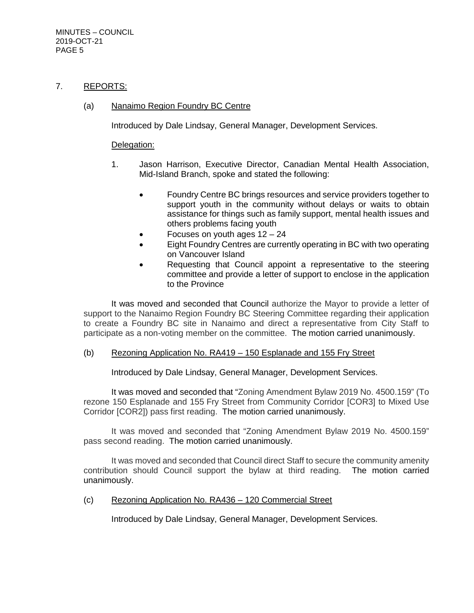### 7. REPORTS:

### (a) Nanaimo Region Foundry BC Centre

Introduced by Dale Lindsay, General Manager, Development Services.

#### Delegation:

- 1. Jason Harrison, Executive Director, Canadian Mental Health Association, Mid-Island Branch, spoke and stated the following:
	- Foundry Centre BC brings resources and service providers together to support youth in the community without delays or waits to obtain assistance for things such as family support, mental health issues and others problems facing youth
	- Focuses on youth ages  $12 24$
	- Eight Foundry Centres are currently operating in BC with two operating on Vancouver Island
	- Requesting that Council appoint a representative to the steering committee and provide a letter of support to enclose in the application to the Province

It was moved and seconded that Council authorize the Mayor to provide a letter of support to the Nanaimo Region Foundry BC Steering Committee regarding their application to create a Foundry BC site in Nanaimo and direct a representative from City Staff to participate as a non-voting member on the committee. The motion carried unanimously.

#### (b) Rezoning Application No. RA419 – 150 Esplanade and 155 Fry Street

Introduced by Dale Lindsay, General Manager, Development Services.

It was moved and seconded that "Zoning Amendment Bylaw 2019 No. 4500.159" (To rezone 150 Esplanade and 155 Fry Street from Community Corridor [COR3] to Mixed Use Corridor [COR2]) pass first reading. The motion carried unanimously.

It was moved and seconded that "Zoning Amendment Bylaw 2019 No. 4500.159" pass second reading. The motion carried unanimously.

It was moved and seconded that Council direct Staff to secure the community amenity contribution should Council support the bylaw at third reading. The motion carried unanimously.

#### (c) Rezoning Application No. RA436 – 120 Commercial Street

Introduced by Dale Lindsay, General Manager, Development Services.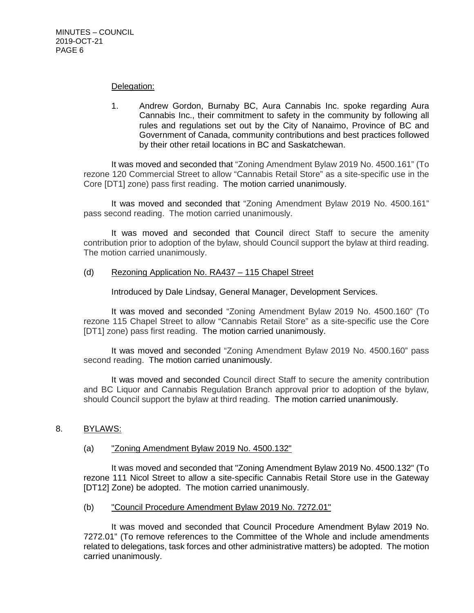#### Delegation:

1. Andrew Gordon, Burnaby BC, Aura Cannabis Inc. spoke regarding Aura Cannabis Inc., their commitment to safety in the community by following all rules and regulations set out by the City of Nanaimo, Province of BC and Government of Canada, community contributions and best practices followed by their other retail locations in BC and Saskatchewan.

It was moved and seconded that "Zoning Amendment Bylaw 2019 No. 4500.161" (To rezone 120 Commercial Street to allow "Cannabis Retail Store" as a site-specific use in the Core [DT1] zone) pass first reading. The motion carried unanimously.

It was moved and seconded that "Zoning Amendment Bylaw 2019 No. 4500.161" pass second reading. The motion carried unanimously.

It was moved and seconded that Council direct Staff to secure the amenity contribution prior to adoption of the bylaw, should Council support the bylaw at third reading. The motion carried unanimously.

### (d) Rezoning Application No. RA437 – 115 Chapel Street

Introduced by Dale Lindsay, General Manager, Development Services.

It was moved and seconded "Zoning Amendment Bylaw 2019 No. 4500.160" (To rezone 115 Chapel Street to allow "Cannabis Retail Store" as a site-specific use the Core [DT1] zone) pass first reading. The motion carried unanimously.

It was moved and seconded "Zoning Amendment Bylaw 2019 No. 4500.160" pass second reading. The motion carried unanimously.

It was moved and seconded Council direct Staff to secure the amenity contribution and BC Liquor and Cannabis Regulation Branch approval prior to adoption of the bylaw, should Council support the bylaw at third reading. The motion carried unanimously.

#### 8. BYLAWS:

#### (a) "Zoning Amendment Bylaw 2019 No. 4500.132"

It was moved and seconded that "Zoning Amendment Bylaw 2019 No. 4500.132" (To rezone 111 Nicol Street to allow a site-specific Cannabis Retail Store use in the Gateway [DT12] Zone) be adopted. The motion carried unanimously.

(b) "Council Procedure Amendment Bylaw 2019 No. 7272.01"

It was moved and seconded that Council Procedure Amendment Bylaw 2019 No. 7272.01" (To remove references to the Committee of the Whole and include amendments related to delegations, task forces and other administrative matters) be adopted. The motion carried unanimously.